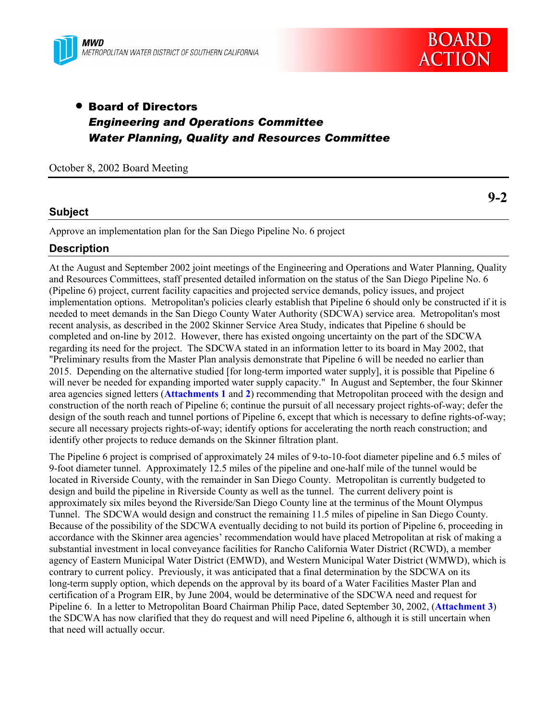



# • Board of Directors *Engineering and Operations Committee Water Planning, Quality and Resources Committee*

October 8, 2002 Board Meeting

## **Subject**

Approve an implementation plan for the San Diego Pipeline No. 6 project

## **Description**

At the August and September 2002 joint meetings of the Engineering and Operations and Water Planning, Quality and Resources Committees, staff presented detailed information on the status of the San Diego Pipeline No. 6 (Pipeline 6) project, current facility capacities and projected service demands, policy issues, and project implementation options. Metropolitan's policies clearly establish that Pipeline 6 should only be constructed if it is needed to meet demands in the San Diego County Water Authority (SDCWA) service area. Metropolitan's most recent analysis, as described in the 2002 Skinner Service Area Study, indicates that Pipeline 6 should be completed and on-line by 2012. However, there has existed ongoing uncertainty on the part of the SDCWA regarding its need for the project. The SDCWA stated in an information letter to its board in May 2002, that "Preliminary results from the Master Plan analysis demonstrate that Pipeline 6 will be needed no earlier than 2015. Depending on the alternative studied [for long-term imported water supply], it is possible that Pipeline 6 will never be needed for expanding imported water supply capacity." In August and September, the four Skinner area agencies signed letters (**Attachments 1** and **2**) recommending that Metropolitan proceed with the design and construction of the north reach of Pipeline 6; continue the pursuit of all necessary project rights-of-way; defer the design of the south reach and tunnel portions of Pipeline 6, except that which is necessary to define rights-of-way; secure all necessary projects rights-of-way; identify options for accelerating the north reach construction; and identify other projects to reduce demands on the Skinner filtration plant.

The Pipeline 6 project is comprised of approximately 24 miles of 9-to-10-foot diameter pipeline and 6.5 miles of 9-foot diameter tunnel. Approximately 12.5 miles of the pipeline and one-half mile of the tunnel would be located in Riverside County, with the remainder in San Diego County. Metropolitan is currently budgeted to design and build the pipeline in Riverside County as well as the tunnel. The current delivery point is approximately six miles beyond the Riverside/San Diego County line at the terminus of the Mount Olympus Tunnel. The SDCWA would design and construct the remaining 11.5 miles of pipeline in San Diego County. Because of the possibility of the SDCWA eventually deciding to not build its portion of Pipeline 6, proceeding in accordance with the Skinner area agencies' recommendation would have placed Metropolitan at risk of making a substantial investment in local conveyance facilities for Rancho California Water District (RCWD), a member agency of Eastern Municipal Water District (EMWD), and Western Municipal Water District (WMWD), which is contrary to current policy. Previously, it was anticipated that a final determination by the SDCWA on its long-term supply option, which depends on the approval by its board of a Water Facilities Master Plan and certification of a Program EIR, by June 2004, would be determinative of the SDCWA need and request for Pipeline 6. In a letter to Metropolitan Board Chairman Philip Pace, dated September 30, 2002, (**Attachment 3**) the SDCWA has now clarified that they do request and will need Pipeline 6, although it is still uncertain when that need will actually occur.

**9-2**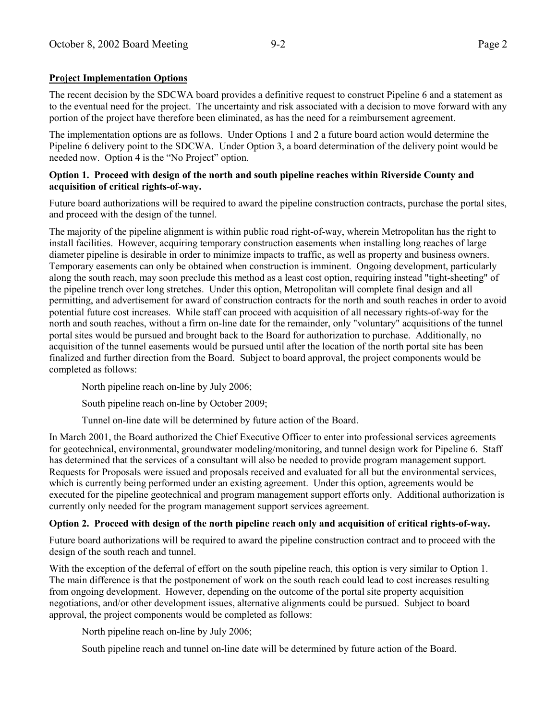## **Project Implementation Options**

The recent decision by the SDCWA board provides a definitive request to construct Pipeline 6 and a statement as to the eventual need for the project. The uncertainty and risk associated with a decision to move forward with any portion of the project have therefore been eliminated, as has the need for a reimbursement agreement.

The implementation options are as follows. Under Options 1 and 2 a future board action would determine the Pipeline 6 delivery point to the SDCWA. Under Option 3, a board determination of the delivery point would be needed now. Option 4 is the "No Project" option.

#### **Option 1. Proceed with design of the north and south pipeline reaches within Riverside County and acquisition of critical rights-of-way.**

Future board authorizations will be required to award the pipeline construction contracts, purchase the portal sites, and proceed with the design of the tunnel.

The majority of the pipeline alignment is within public road right-of-way, wherein Metropolitan has the right to install facilities. However, acquiring temporary construction easements when installing long reaches of large diameter pipeline is desirable in order to minimize impacts to traffic, as well as property and business owners. Temporary easements can only be obtained when construction is imminent. Ongoing development, particularly along the south reach, may soon preclude this method as a least cost option, requiring instead "tight-sheeting" of the pipeline trench over long stretches. Under this option, Metropolitan will complete final design and all permitting, and advertisement for award of construction contracts for the north and south reaches in order to avoid potential future cost increases. While staff can proceed with acquisition of all necessary rights-of-way for the north and south reaches, without a firm on-line date for the remainder, only "voluntary" acquisitions of the tunnel portal sites would be pursued and brought back to the Board for authorization to purchase. Additionally, no acquisition of the tunnel easements would be pursued until after the location of the north portal site has been finalized and further direction from the Board. Subject to board approval, the project components would be completed as follows:

North pipeline reach on-line by July 2006;

South pipeline reach on-line by October 2009;

Tunnel on-line date will be determined by future action of the Board.

In March 2001, the Board authorized the Chief Executive Officer to enter into professional services agreements for geotechnical, environmental, groundwater modeling/monitoring, and tunnel design work for Pipeline 6. Staff has determined that the services of a consultant will also be needed to provide program management support. Requests for Proposals were issued and proposals received and evaluated for all but the environmental services, which is currently being performed under an existing agreement. Under this option, agreements would be executed for the pipeline geotechnical and program management support efforts only. Additional authorization is currently only needed for the program management support services agreement.

## **Option 2. Proceed with design of the north pipeline reach only and acquisition of critical rights-of-way.**

Future board authorizations will be required to award the pipeline construction contract and to proceed with the design of the south reach and tunnel.

With the exception of the deferral of effort on the south pipeline reach, this option is very similar to Option 1. The main difference is that the postponement of work on the south reach could lead to cost increases resulting from ongoing development. However, depending on the outcome of the portal site property acquisition negotiations, and/or other development issues, alternative alignments could be pursued. Subject to board approval, the project components would be completed as follows:

North pipeline reach on-line by July 2006;

South pipeline reach and tunnel on-line date will be determined by future action of the Board.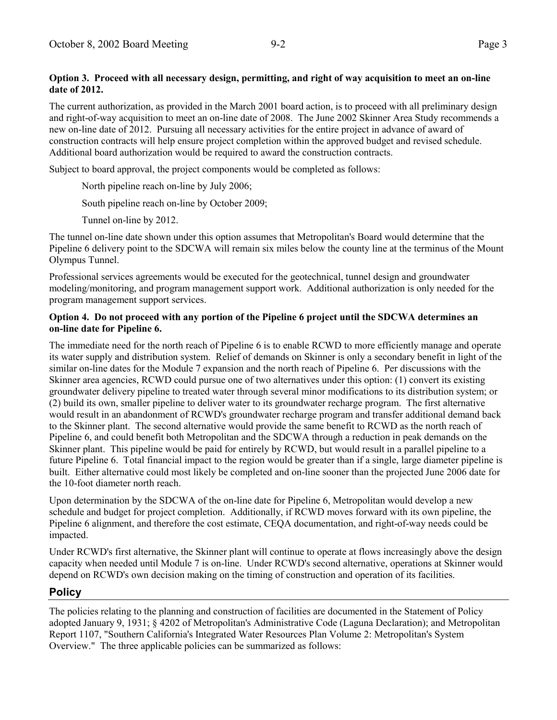## **Option 3. Proceed with all necessary design, permitting, and right of way acquisition to meet an on-line date of 2012.**

The current authorization, as provided in the March 2001 board action, is to proceed with all preliminary design and right-of-way acquisition to meet an on-line date of 2008. The June 2002 Skinner Area Study recommends a new on-line date of 2012. Pursuing all necessary activities for the entire project in advance of award of construction contracts will help ensure project completion within the approved budget and revised schedule. Additional board authorization would be required to award the construction contracts.

Subject to board approval, the project components would be completed as follows:

North pipeline reach on-line by July 2006;

South pipeline reach on-line by October 2009;

Tunnel on-line by 2012.

The tunnel on-line date shown under this option assumes that Metropolitan's Board would determine that the Pipeline 6 delivery point to the SDCWA will remain six miles below the county line at the terminus of the Mount Olympus Tunnel.

Professional services agreements would be executed for the geotechnical, tunnel design and groundwater modeling/monitoring, and program management support work. Additional authorization is only needed for the program management support services.

## **Option 4. Do not proceed with any portion of the Pipeline 6 project until the SDCWA determines an on-line date for Pipeline 6.**

The immediate need for the north reach of Pipeline 6 is to enable RCWD to more efficiently manage and operate its water supply and distribution system. Relief of demands on Skinner is only a secondary benefit in light of the similar on-line dates for the Module 7 expansion and the north reach of Pipeline 6. Per discussions with the Skinner area agencies, RCWD could pursue one of two alternatives under this option: (1) convert its existing groundwater delivery pipeline to treated water through several minor modifications to its distribution system; or (2) build its own, smaller pipeline to deliver water to its groundwater recharge program. The first alternative would result in an abandonment of RCWD's groundwater recharge program and transfer additional demand back to the Skinner plant. The second alternative would provide the same benefit to RCWD as the north reach of Pipeline 6, and could benefit both Metropolitan and the SDCWA through a reduction in peak demands on the Skinner plant. This pipeline would be paid for entirely by RCWD, but would result in a parallel pipeline to a future Pipeline 6. Total financial impact to the region would be greater than if a single, large diameter pipeline is built. Either alternative could most likely be completed and on-line sooner than the projected June 2006 date for the 10-foot diameter north reach.

Upon determination by the SDCWA of the on-line date for Pipeline 6, Metropolitan would develop a new schedule and budget for project completion. Additionally, if RCWD moves forward with its own pipeline, the Pipeline 6 alignment, and therefore the cost estimate, CEQA documentation, and right-of-way needs could be impacted.

Under RCWD's first alternative, the Skinner plant will continue to operate at flows increasingly above the design capacity when needed until Module 7 is on-line. Under RCWD's second alternative, operations at Skinner would depend on RCWD's own decision making on the timing of construction and operation of its facilities.

## **Policy**

The policies relating to the planning and construction of facilities are documented in the Statement of Policy adopted January 9, 1931; ß 4202 of Metropolitan's Administrative Code (Laguna Declaration); and Metropolitan Report 1107, "Southern California's Integrated Water Resources Plan Volume 2: Metropolitan's System Overview." The three applicable policies can be summarized as follows: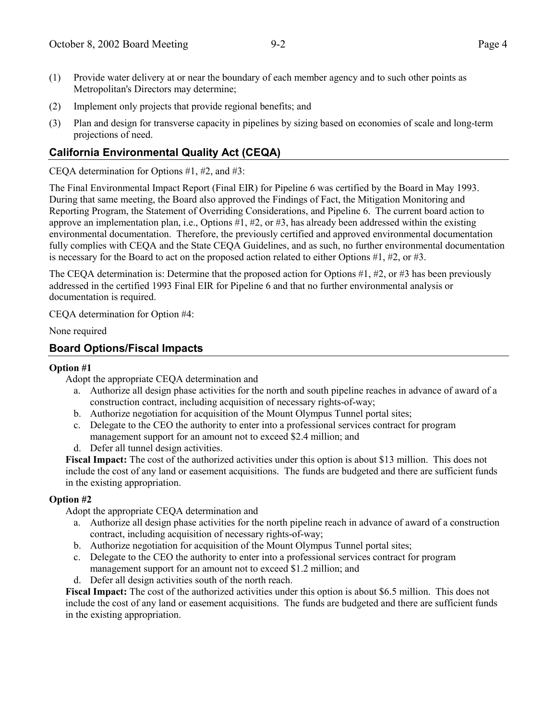- (1) Provide water delivery at or near the boundary of each member agency and to such other points as Metropolitan's Directors may determine;
- (2) Implement only projects that provide regional benefits; and
- (3) Plan and design for transverse capacity in pipelines by sizing based on economies of scale and long-term projections of need.

## **California Environmental Quality Act (CEQA)**

CEQA determination for Options #1, #2, and #3:

The Final Environmental Impact Report (Final EIR) for Pipeline 6 was certified by the Board in May 1993. During that same meeting, the Board also approved the Findings of Fact, the Mitigation Monitoring and Reporting Program, the Statement of Overriding Considerations, and Pipeline 6. The current board action to approve an implementation plan, i.e., Options #1, #2, or #3, has already been addressed within the existing environmental documentation. Therefore, the previously certified and approved environmental documentation fully complies with CEQA and the State CEQA Guidelines, and as such, no further environmental documentation is necessary for the Board to act on the proposed action related to either Options  $#1, #2,$  or  $#3.$ 

The CEQA determination is: Determine that the proposed action for Options  $\#1, \#2,$  or  $\#3$  has been previously addressed in the certified 1993 Final EIR for Pipeline 6 and that no further environmental analysis or documentation is required.

CEQA determination for Option #4:

None required

## **Board Options/Fiscal Impacts**

## **Option #1**

Adopt the appropriate CEQA determination and

- a. Authorize all design phase activities for the north and south pipeline reaches in advance of award of a construction contract, including acquisition of necessary rights-of-way;
- b. Authorize negotiation for acquisition of the Mount Olympus Tunnel portal sites;
- c. Delegate to the CEO the authority to enter into a professional services contract for program management support for an amount not to exceed \$2.4 million; and
- d. Defer all tunnel design activities.

**Fiscal Impact:** The cost of the authorized activities under this option is about \$13 million. This does not include the cost of any land or easement acquisitions. The funds are budgeted and there are sufficient funds in the existing appropriation.

## **Option #2**

Adopt the appropriate CEQA determination and

- a. Authorize all design phase activities for the north pipeline reach in advance of award of a construction contract, including acquisition of necessary rights-of-way;
- b. Authorize negotiation for acquisition of the Mount Olympus Tunnel portal sites;
- c. Delegate to the CEO the authority to enter into a professional services contract for program management support for an amount not to exceed \$1.2 million; and
- d. Defer all design activities south of the north reach.

**Fiscal Impact:** The cost of the authorized activities under this option is about \$6.5 million. This does not include the cost of any land or easement acquisitions. The funds are budgeted and there are sufficient funds in the existing appropriation.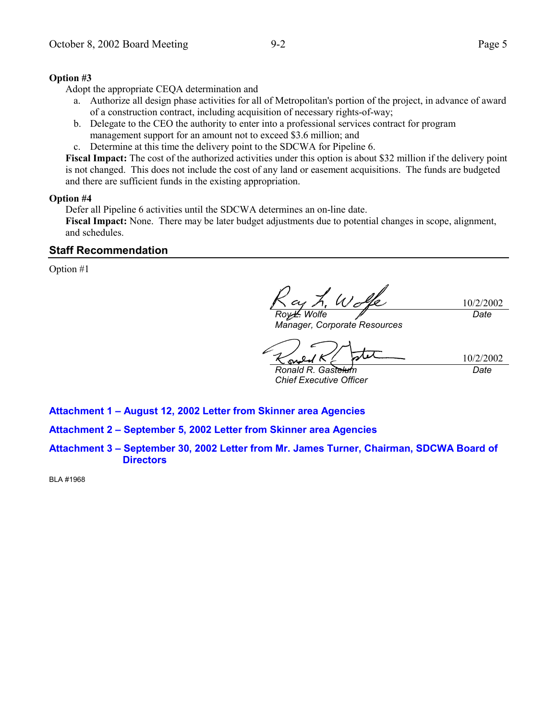## **Option #3**

Adopt the appropriate CEQA determination and

- a. Authorize all design phase activities for all of Metropolitan's portion of the project, in advance of award of a construction contract, including acquisition of necessary rights-of-way;
- b. Delegate to the CEO the authority to enter into a professional services contract for program management support for an amount not to exceed \$3.6 million; and
- c. Determine at this time the delivery point to the SDCWA for Pipeline 6.

**Fiscal Impact:** The cost of the authorized activities under this option is about \$32 million if the delivery point is not changed. This does not include the cost of any land or easement acquisitions. The funds are budgeted and there are sufficient funds in the existing appropriation.

#### **Option #4**

Defer all Pipeline 6 activities until the SDCWA determines an on-line date.

**Fiscal Impact:** None. There may be later budget adjustments due to potential changes in scope, alignment, and schedules.

## **Staff Recommendation**

Option #1

 $W_c$ 10/2/2002 *Date Roy L. Wolfe*

*Manager, Corporate Resources*

10/2/2002

*Ronald R. Gastelum Chief Executive Officer*

SM.

*Date*

**Attachment 1 - August 12, 2002 Letter from Skinner area Agencies** 

Attachment 2 - September 5, 2002 Letter from Skinner area Agencies

Attachment 3 – September 30, 2002 Letter from Mr. James Turner, Chairman, SDCWA Board of **Directors**

BLA #1968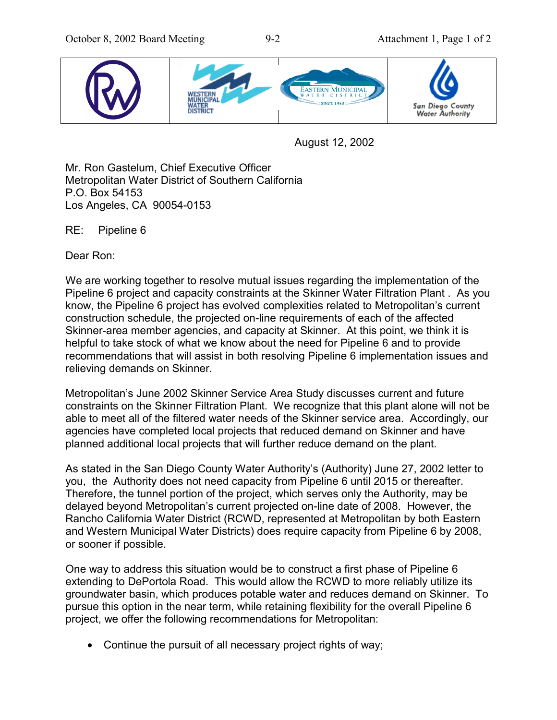

August 12, 2002

Mr. Ron Gastelum, Chief Executive Officer Metropolitan Water District of Southern California P.O. Box 54153 Los Angeles, CA 90054-0153

RE: Pipeline 6

Dear Ron:

We are working together to resolve mutual issues regarding the implementation of the Pipeline 6 project and capacity constraints at the Skinner Water Filtration Plant . As you know, the Pipeline 6 project has evolved complexities related to Metropolitanís current construction schedule, the projected on-line requirements of each of the affected Skinner-area member agencies, and capacity at Skinner. At this point, we think it is helpful to take stock of what we know about the need for Pipeline 6 and to provide recommendations that will assist in both resolving Pipeline 6 implementation issues and relieving demands on Skinner.

Metropolitanís June 2002 Skinner Service Area Study discusses current and future constraints on the Skinner Filtration Plant. We recognize that this plant alone will not be able to meet all of the filtered water needs of the Skinner service area. Accordingly, our agencies have completed local projects that reduced demand on Skinner and have planned additional local projects that will further reduce demand on the plant.

As stated in the San Diego County Water Authorityís (Authority) June 27, 2002 letter to you, the Authority does not need capacity from Pipeline 6 until 2015 or thereafter. Therefore, the tunnel portion of the project, which serves only the Authority, may be delayed beyond Metropolitanís current projected on-line date of 2008. However, the Rancho California Water District (RCWD, represented at Metropolitan by both Eastern and Western Municipal Water Districts) does require capacity from Pipeline 6 by 2008, or sooner if possible.

One way to address this situation would be to construct a first phase of Pipeline 6 extending to DePortola Road. This would allow the RCWD to more reliably utilize its groundwater basin, which produces potable water and reduces demand on Skinner. To pursue this option in the near term, while retaining flexibility for the overall Pipeline 6 project, we offer the following recommendations for Metropolitan:

• Continue the pursuit of all necessary project rights of way;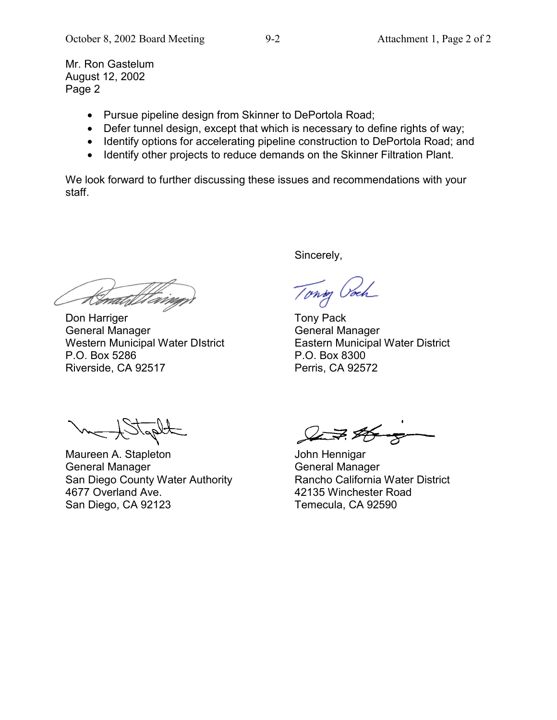Mr. Ron Gastelum August 12, 2002 Page 2

- Pursue pipeline design from Skinner to DePortola Road;
- Defer tunnel design, except that which is necessary to define rights of way;
- Identify options for accelerating pipeline construction to DePortola Road; and
- Identify other projects to reduce demands on the Skinner Filtration Plant.

We look forward to further discussing these issues and recommendations with your staff.

t Gonald

Don Harriger **Tony Pack** General Manager General Manager Western Municipal Water DIstrict Eastern Municipal Water District P.O. Box 5286 P.O. Box 8300 Riverside, CA 92517 Perris, CA 92572

Sincerely,

Tong Ooch

Maureen A. Stapleton **John Hennigar** General Manager General Manager San Diego County Water Authority<br>
42135 Winchester Road<br>
42135 Winchester Road San Diego, CA 92123 Temecula, CA 92590

 $2776$ 

42135 Winchester Road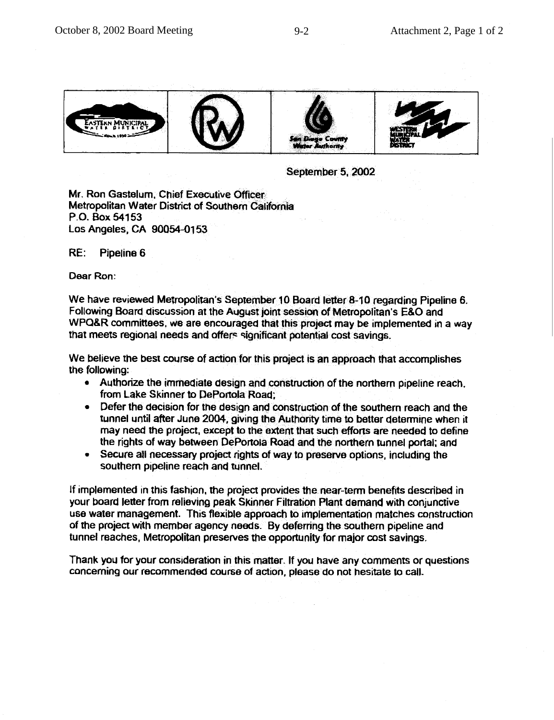

September 5, 2002

Mr. Ron Gastelum, Chief Executive Officer Metropolitan Water District of Southern California P.O. Box 54153 Los Angeles, CA 90054-0153

RE. Pipeline 6

Dear Ron:

We have reviewed Metropolitan's September 10 Board letter 8-10 regarding Pipeline 6. Following Board discussion at the August joint session of Metropolitan's E&O and WPQ&R committees, we are encouraged that this project may be implemented in a way that meets regional needs and offers significant potential cost savings.

We believe the best course of action for this project is an approach that accomplishes the following:

- Authorize the immediate design and construction of the northern pipeline reach. from Lake Skinner to DePortola Road;
- Defer the decision for the design and construction of the southern reach and the tunnel until after June 2004, giving the Authority time to better determine when it may need the project, except to the extent that such efforts are needed to define the rights of way between DePortola Road and the northern tunnel portal; and
- Secure all necessary project rights of way to preserve options, including the  $\bullet$ southern pipeline reach and tunnel.

If implemented in this fashion, the project provides the near-term benefits described in your board letter from relieving peak Skinner Filtration Plant demand with conjunctive use water management. This flexible approach to implementation matches construction of the project with member agency needs. By deferring the southern pipeline and tunnel reaches, Metropolitan preserves the opportunity for major cost savings.

Thank you for your consideration in this matter. If you have any comments or questions concerning our recommended course of action, please do not hesitate to call.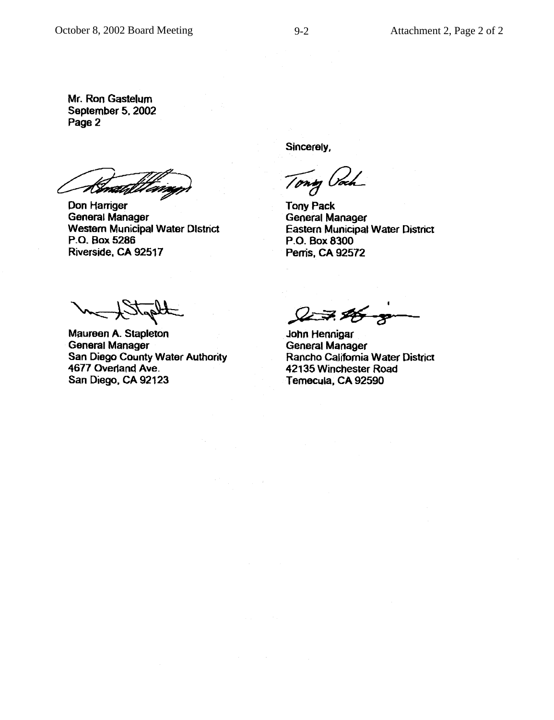Mr. Ron Gastelum September 5, 2002 Page 2

Kematal

Don Harriger **General Manager Western Municipal Water District** P.O. Box 5286 Riverside, CA 92517

Sincerely,

Tony Vi

**Tony Pack General Manager Eastern Municipal Water District** P.O. Box 8300 Perris, CA 92572

Maureen A. Stapleton **General Manager** San Diego County Water Authority 4677 Overland Ave. San Diego, CA 92123

27.25

John Hennigar **General Manager** Rancho California Water District 42135 Winchester Road Temecula, CA 92590